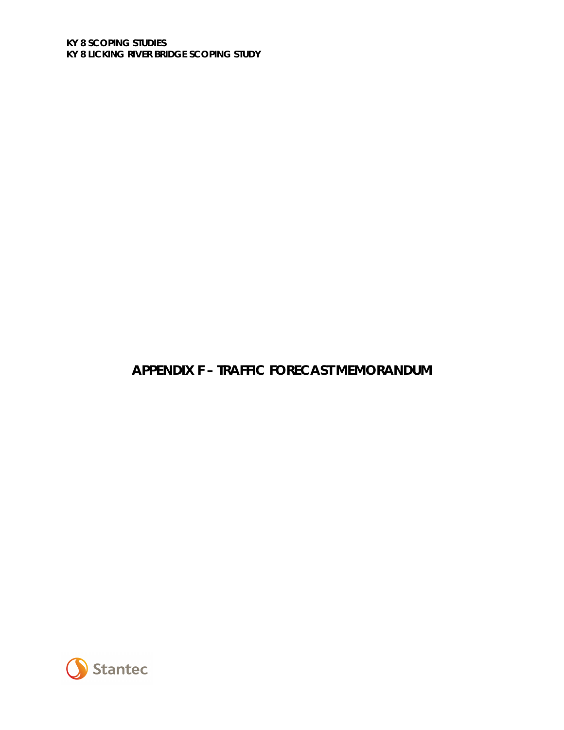# **APPENDIX F – TRAFFIC FORECAST MEMORANDUM**

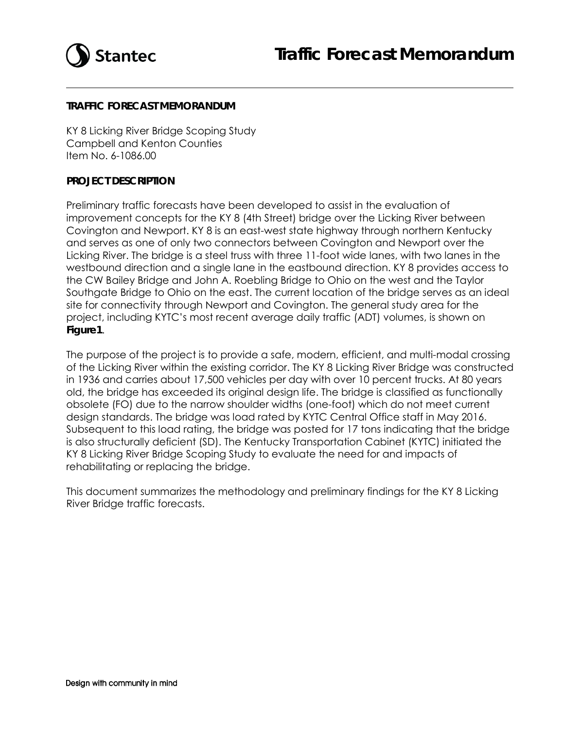

#### **TRAFFIC FORECAST MEMORANDUM**

KY 8 Licking River Bridge Scoping Study Campbell and Kenton Counties Item No. 6-1086.00

#### **PROJECT DESCRIPTION**

Preliminary traffic forecasts have been developed to assist in the evaluation of improvement concepts for the KY 8 (4th Street) bridge over the Licking River between Covington and Newport. KY 8 is an east-west state highway through northern Kentucky and serves as one of only two connectors between Covington and Newport over the Licking River. The bridge is a steel truss with three 11-foot wide lanes, with two lanes in the westbound direction and a single lane in the eastbound direction. KY 8 provides access to the CW Bailey Bridge and John A. Roebling Bridge to Ohio on the west and the Taylor Southgate Bridge to Ohio on the east. The current location of the bridge serves as an ideal site for connectivity through Newport and Covington. The general study area for the project, including KYTC's most recent average daily traffic (ADT) volumes, is shown on **Figure1**.

The purpose of the project is to provide a safe, modern, efficient, and multi-modal crossing of the Licking River within the existing corridor. The KY 8 Licking River Bridge was constructed in 1936 and carries about 17,500 vehicles per day with over 10 percent trucks. At 80 years old, the bridge has exceeded its original design life. The bridge is classified as functionally obsolete (FO) due to the narrow shoulder widths (one-foot) which do not meet current design standards. The bridge was load rated by KYTC Central Office staff in May 2016. Subsequent to this load rating, the bridge was posted for 17 tons indicating that the bridge is also structurally deficient (SD). The Kentucky Transportation Cabinet (KYTC) initiated the KY 8 Licking River Bridge Scoping Study to evaluate the need for and impacts of rehabilitating or replacing the bridge.

This document summarizes the methodology and preliminary findings for the KY 8 Licking River Bridge traffic forecasts.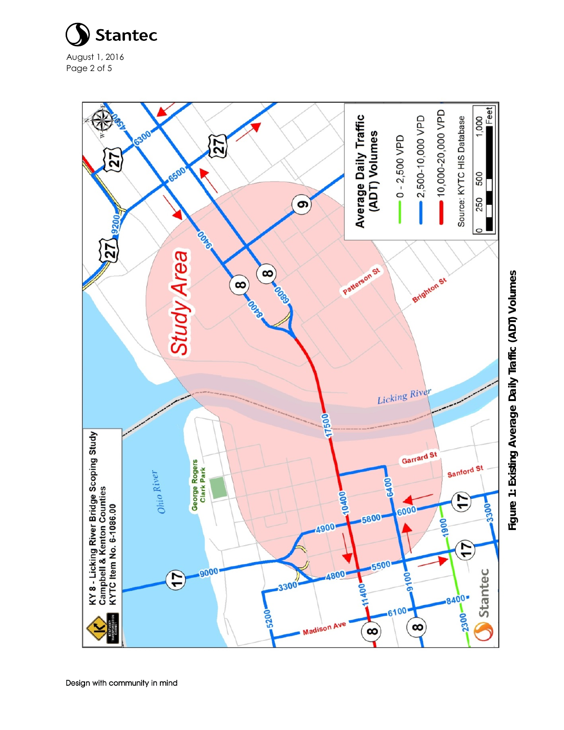

August 1, 201 6 Page 2 of 5



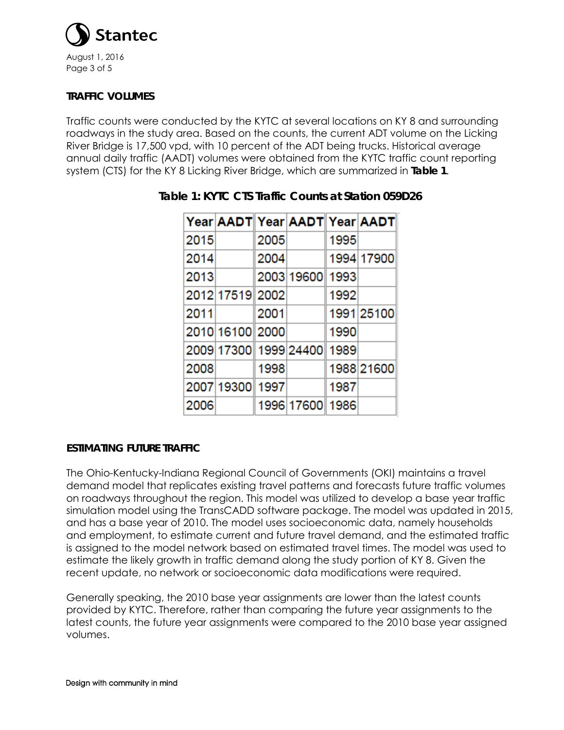

## **TRAFFIC VOLUMES**

Traffic counts were conducted by the KYTC at several locations on KY 8 and surrounding roadways in the study area. Based on the counts, the current ADT volume on the Licking River Bridge is 17,500 vpd, with 10 percent of the ADT being trucks. Historical average annual daily traffic (AADT) volumes were obtained from the KYTC traffic count reporting system (CTS) for the KY 8 Licking River Bridge, which are summarized in **Table 1**.

|      |                 |      | Year AADT Year AADT Year AADT |      |            |
|------|-----------------|------|-------------------------------|------|------------|
| 2015 |                 | 2005 |                               | 1995 |            |
| 2014 |                 | 2004 |                               |      | 1994 17900 |
| 2013 |                 |      | 2003 19600 1993               |      |            |
|      | 2012 17519 2002 |      |                               | 1992 |            |
| 2011 |                 | 2001 |                               |      | 1991 25100 |
|      | 2010 16100 2000 |      |                               | 1990 |            |
|      |                 |      | 2009 17300 1999 24400 1989    |      |            |
| 2008 |                 | 1998 |                               |      | 1988 21600 |
|      | 2007 19300 1997 |      |                               | 1987 |            |
| 2006 |                 |      | 1996 17600 1986               |      |            |

## **Table 1: KYTC CTS Traffic Counts at Station 059D26**

## **ESTIMATING FUTURE TRAFFIC**

The Ohio-Kentucky-Indiana Regional Council of Governments (OKI) maintains a travel demand model that replicates existing travel patterns and forecasts future traffic volumes on roadways throughout the region. This model was utilized to develop a base year traffic simulation model using the TransCADD software package. The model was updated in 2015, and has a base year of 2010. The model uses socioeconomic data, namely households and employment, to estimate current and future travel demand, and the estimated traffic is assigned to the model network based on estimated travel times. The model was used to estimate the likely growth in traffic demand along the study portion of KY 8. Given the recent update, no network or socioeconomic data modifications were required.

Generally speaking, the 2010 base year assignments are lower than the latest counts provided by KYTC. Therefore, rather than comparing the future year assignments to the latest counts, the future year assignments were compared to the 2010 base year assigned volumes.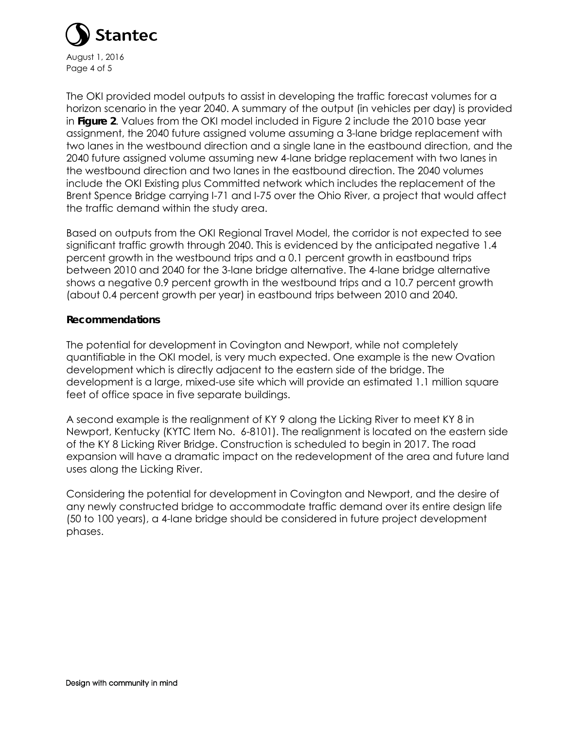

The OKI provided model outputs to assist in developing the traffic forecast volumes for a horizon scenario in the year 2040. A summary of the output (in vehicles per day) is provided in **Figure 2**. Values from the OKI model included in Figure 2 include the 2010 base year assignment, the 2040 future assigned volume assuming a 3-lane bridge replacement with two lanes in the westbound direction and a single lane in the eastbound direction, and the 2040 future assigned volume assuming new 4-lane bridge replacement with two lanes in the westbound direction and two lanes in the eastbound direction. The 2040 volumes include the OKI Existing plus Committed network which includes the replacement of the Brent Spence Bridge carrying I-71 and I-75 over the Ohio River, a project that would affect the traffic demand within the study area.

Based on outputs from the OKI Regional Travel Model, the corridor is not expected to see significant traffic growth through 2040. This is evidenced by the anticipated negative 1.4 percent growth in the westbound trips and a 0.1 percent growth in eastbound trips between 2010 and 2040 for the 3-lane bridge alternative. The 4-lane bridge alternative shows a negative 0.9 percent growth in the westbound trips and a 10.7 percent growth (about 0.4 percent growth per year) in eastbound trips between 2010 and 2040.

#### **Recommendations**

The potential for development in Covington and Newport, while not completely quantifiable in the OKI model, is very much expected. One example is the new Ovation development which is directly adjacent to the eastern side of the bridge. The development is a large, mixed-use site which will provide an estimated 1.1 million square feet of office space in five separate buildings.

A second example is the realignment of KY 9 along the Licking River to meet KY 8 in Newport, Kentucky (KYTC Item No. 6-8101). The realignment is located on the eastern side of the KY 8 Licking River Bridge. Construction is scheduled to begin in 2017. The road expansion will have a dramatic impact on the redevelopment of the area and future land uses along the Licking River.

Considering the potential for development in Covington and Newport, and the desire of any newly constructed bridge to accommodate traffic demand over its entire design life (50 to 100 years), a 4-lane bridge should be considered in future project development phases.